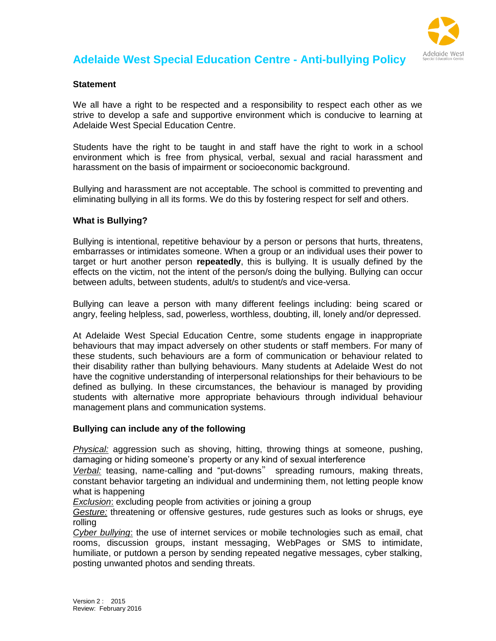

# **Adelaide West Special Education Centre - Anti-bullying Policy**

#### **Statement**

We all have a right to be respected and a responsibility to respect each other as we strive to develop a safe and supportive environment which is conducive to learning at Adelaide West Special Education Centre.

Students have the right to be taught in and staff have the right to work in a school environment which is free from physical, verbal, sexual and racial harassment and harassment on the basis of impairment or socioeconomic background.

Bullying and harassment are not acceptable. The school is committed to preventing and eliminating bullying in all its forms. We do this by fostering respect for self and others.

#### **What is Bullying?**

Bullying is intentional, repetitive behaviour by a person or persons that hurts, threatens, embarrasses or intimidates someone. When a group or an individual uses their power to target or hurt another person **repeatedly**, this is bullying. It is usually defined by the effects on the victim, not the intent of the person/s doing the bullying. Bullying can occur between adults, between students, adult/s to student/s and vice-versa.

Bullying can leave a person with many different feelings including: being scared or angry, feeling helpless, sad, powerless, worthless, doubting, ill, lonely and/or depressed.

At Adelaide West Special Education Centre, some students engage in inappropriate behaviours that may impact adversely on other students or staff members. For many of these students, such behaviours are a form of communication or behaviour related to their disability rather than bullying behaviours. Many students at Adelaide West do not have the cognitive understanding of interpersonal relationships for their behaviours to be defined as bullying. In these circumstances, the behaviour is managed by providing students with alternative more appropriate behaviours through individual behaviour management plans and communication systems.

#### **Bullying can include any of the following**

*Physical:* aggression such as shoving, hitting, throwing things at someone, pushing, damaging or hiding someone's property or any kind of sexual interference

*Verbal:* teasing, name-calling and "put-downs" spreading rumours, making threats, constant behavior targeting an individual and undermining them, not letting people know what is happening

*Exclusion*: excluding people from activities or joining a group

*Gesture:* threatening or offensive gestures, rude gestures such as looks or shrugs, eye rolling

*Cyber bullying*: the use of internet services or mobile technologies such as email, chat rooms, discussion groups, instant messaging, WebPages or SMS to intimidate, humiliate, or putdown a person by sending repeated negative messages, cyber stalking, posting unwanted photos and sending threats.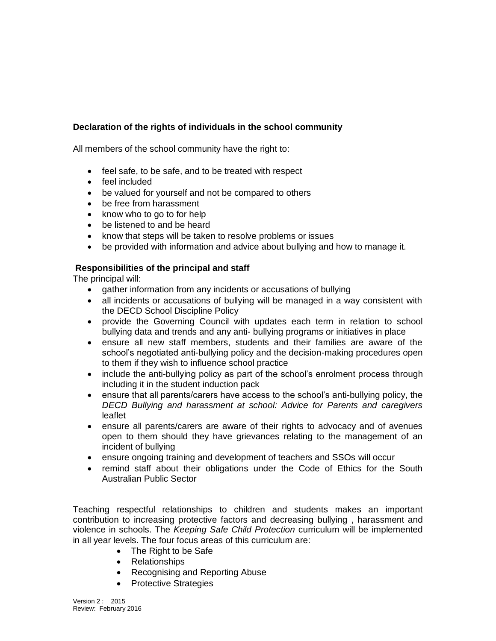# **Declaration of the rights of individuals in the school community**

All members of the school community have the right to:

- feel safe, to be safe, and to be treated with respect
- feel included
- be valued for yourself and not be compared to others
- be free from harassment
- know who to go to for help
- be listened to and be heard
- know that steps will be taken to resolve problems or issues
- be provided with information and advice about bullying and how to manage it.

## **Responsibilities of the principal and staff**

The principal will:

- gather information from any incidents or accusations of bullying
- all incidents or accusations of bullying will be managed in a way consistent with the DECD School Discipline Policy
- provide the Governing Council with updates each term in relation to school bullying data and trends and any anti- bullying programs or initiatives in place
- ensure all new staff members, students and their families are aware of the school's negotiated anti-bullying policy and the decision-making procedures open to them if they wish to influence school practice
- include the anti-bullying policy as part of the school's enrolment process through including it in the student induction pack
- ensure that all parents/carers have access to the school's anti-bullying policy, the *DECD Bullying and harassment at school: Advice for Parents and caregivers* leaflet
- ensure all parents/carers are aware of their rights to advocacy and of avenues open to them should they have grievances relating to the management of an incident of bullying
- ensure ongoing training and development of teachers and SSOs will occur
- remind staff about their obligations under the Code of Ethics for the South Australian Public Sector

Teaching respectful relationships to children and students makes an important contribution to increasing protective factors and decreasing bullying , harassment and violence in schools. The *Keeping Safe Child Protection* curriculum will be implemented in all year levels. The four focus areas of this curriculum are:

- The Right to be Safe
- Relationships
- Recognising and Reporting Abuse
- Protective Strategies